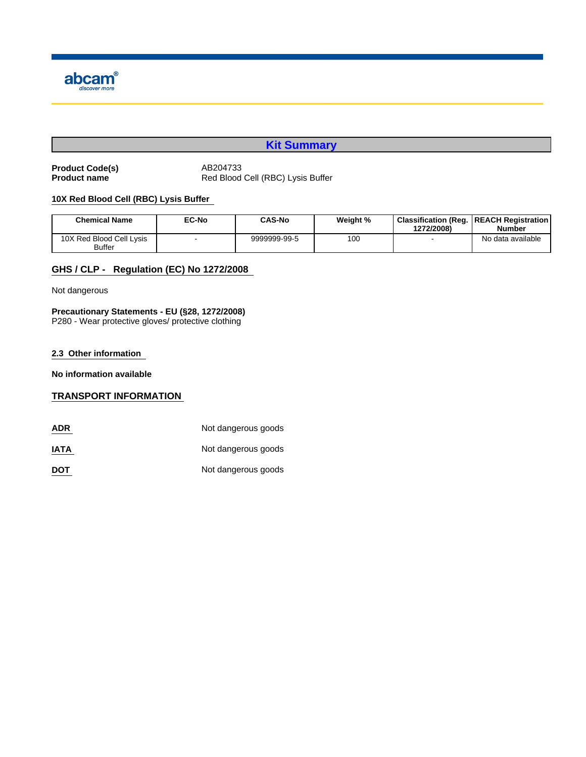

# **Kit Summary**

Product Code(s) **AB204733**<br>
Product name Red Blood

Red Blood Cell (RBC) Lysis Buffer

# **10X Red Blood Cell (RBC) Lysis Buffer**

| <b>Chemical Name</b>                      | <b>EC-No</b> | <b>CAS-No</b> | Weight % | <b>Classification (Reg.</b><br>1272/2008) | <b>IREACH Registration</b><br><b>Number</b> |
|-------------------------------------------|--------------|---------------|----------|-------------------------------------------|---------------------------------------------|
| 10X Red Blood Cell Lysis<br><b>Buffer</b> |              | 9999999-99-5  | 100      |                                           | No data available                           |

# **GHS / CLP - Regulation (EC) No 1272/2008**

Not dangerous

**Precautionary Statements - EU (§28, 1272/2008)** P280 - Wear protective gloves/ protective clothing

#### **2.3 Other information**

**No information available**

## **TRANSPORT INFORMATION**

| <b>ADR</b>  | Not dangerous goods |
|-------------|---------------------|
| <b>IATA</b> | Not dangerous goods |
| <b>DOT</b>  | Not dangerous goods |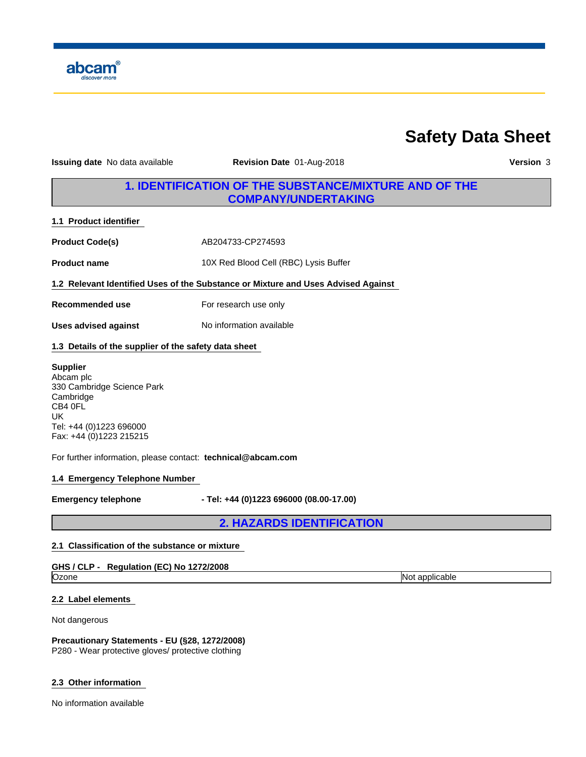

# **Safety Data Sheet**

**Issuing date** No data available **Revision Date** 01-Aug-2018 **Version** 3

# **1. IDENTIFICATION OF THE SUBSTANCE/MIXTURE AND OF THE COMPANY/UNDERTAKING**

**1.1 Product identifier** 

**Product Code(s)** AB204733-CP274593

**Product name** 10X Red Blood Cell (RBC) Lysis Buffer

**1.2 Relevant Identified Uses of the Substance or Mixture and Uses Advised Against** 

**Recommended use** For research use only

**Uses advised against**

No information available

# **1.3 Details of the supplier of the safety data sheet**

## **Supplier**

Abcam plc 330 Cambridge Science Park Cambridge CB4 0FL UK **UK** Tel: +44 (0)1223 696000 Fax: +44 (0)1223 215215

For further information, please contact: **technical@abcam.com**

# **1.4 Emergency Telephone Number**

**Emergency telephone - Tel: +44 (0)1223 696000 (08.00-17.00)**

**2. HAZARDS IDENTIFICATION**

## **2.1 Classification of the substance or mixture**

## **GHS / CLP - Regulation (EC) No 1272/2008**

Ozone **Not applicable**  $\blacksquare$ 

**2.2 Label elements** 

Not dangerous

**Precautionary Statements - EU (§28, 1272/2008)** P280 - Wear protective gloves/ protective clothing

#### **2.3 Other information**

No information available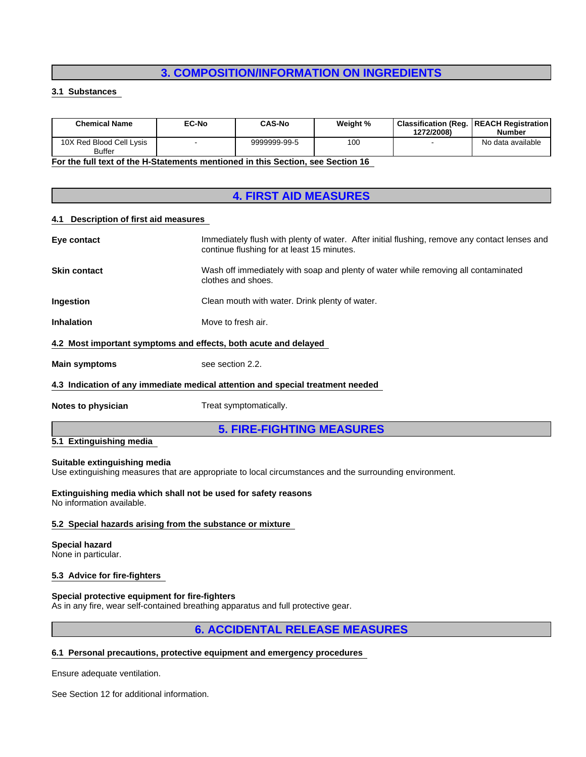# **3. COMPOSITION/INFORMATION ON INGREDIENTS**

## **3.1 Substances**

| <b>Chemical Name</b>                                                              | EC-No | CAS-No       | Weight % | 1272/2008) | <b>Classification (Reg.   REACH Registration)</b><br><b>Number</b> |
|-----------------------------------------------------------------------------------|-------|--------------|----------|------------|--------------------------------------------------------------------|
| 10X Red Blood Cell Lysis<br><b>Buffer</b>                                         |       | 9999999-99-5 | 100      |            | No data available                                                  |
| Facther full taut of the H. Clairments mentioned in this Castlen, and Castlen 40. |       |              |          |            |                                                                    |

**For the full text of the H-Statements mentioned in this Section, see Section 16** 

# **4. FIRST AID MEASURES**

#### **4.1 Description of first aid measures**

| <b>Main symptoms</b>                                            | see section 2.2.                                                                                                                            |
|-----------------------------------------------------------------|---------------------------------------------------------------------------------------------------------------------------------------------|
| 4.2 Most important symptoms and effects, both acute and delayed |                                                                                                                                             |
| <b>Inhalation</b>                                               | Move to fresh air.                                                                                                                          |
| <b>Ingestion</b>                                                | Clean mouth with water. Drink plenty of water.                                                                                              |
| <b>Skin contact</b>                                             | Wash off immediately with soap and plenty of water while removing all contaminated<br>clothes and shoes.                                    |
| Eye contact                                                     | Immediately flush with plenty of water. After initial flushing, remove any contact lenses and<br>continue flushing for at least 15 minutes. |
|                                                                 |                                                                                                                                             |

#### **4.3 Indication of any immediate medical attention and special treatment needed**

**Notes to physician** Treat symptomatically.

# **5. FIRE-FIGHTING MEASURES**

## **5.1 Extinguishing media**

#### **Suitable extinguishing media**

Use extinguishing measures that are appropriate to local circumstances and the surrounding environment.

**Extinguishing media which shall not be used for safety reasons** No information available.

#### **5.2 Special hazards arising from the substance or mixture**

# **Special hazard**

None in particular.

#### **5.3 Advice for fire-fighters**

#### **Special protective equipment for fire-fighters**

As in any fire, wear self-contained breathing apparatus and full protective gear.

# **6. ACCIDENTAL RELEASE MEASURES**

## **6.1 Personal precautions, protective equipment and emergency procedures**

Ensure adequate ventilation.

See Section 12 for additional information.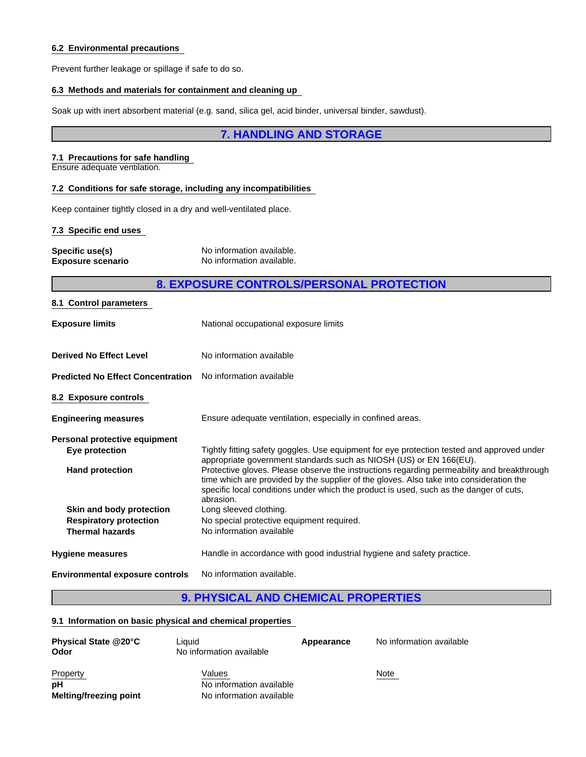## **6.2 Environmental precautions**

Prevent further leakage or spillage if safe to do so.

# **6.3 Methods and materials for containment and cleaning up**

Soak up with inert absorbent material (e.g. sand, silica gel, acid binder, universal binder, sawdust).

# **7. HANDLING AND STORAGE**

# **7.1 Precautions for safe handling**

Ensure adequate ventilation.

# **7.2 Conditions for safe storage, including any incompatibilities**

Keep container tightly closed in a dry and well-ventilated place.

## **7.3 Specific end uses**

| Specific use(s)          | No information available. |
|--------------------------|---------------------------|
| <b>Exposure scenario</b> | No information available. |

# **8. EXPOSURE CONTROLS/PERSONAL PROTECTION**

| 8.1 Control parameters                                            |                                                                                                                                                                                                                                                                                              |
|-------------------------------------------------------------------|----------------------------------------------------------------------------------------------------------------------------------------------------------------------------------------------------------------------------------------------------------------------------------------------|
| <b>Exposure limits</b>                                            | National occupational exposure limits                                                                                                                                                                                                                                                        |
| <b>Derived No Effect Level</b>                                    | No information available                                                                                                                                                                                                                                                                     |
| <b>Predicted No Effect Concentration</b> No information available |                                                                                                                                                                                                                                                                                              |
| 8.2 Exposure controls                                             |                                                                                                                                                                                                                                                                                              |
| <b>Engineering measures</b>                                       | Ensure adequate ventilation, especially in confined areas.                                                                                                                                                                                                                                   |
| Personal protective equipment                                     |                                                                                                                                                                                                                                                                                              |
| Eye protection                                                    | Tightly fitting safety goggles. Use equipment for eye protection tested and approved under<br>appropriate government standards such as NIOSH (US) or EN 166(EU).                                                                                                                             |
| <b>Hand protection</b>                                            | Protective gloves. Please observe the instructions regarding permeability and breakthrough<br>time which are provided by the supplier of the gloves. Also take into consideration the<br>specific local conditions under which the product is used, such as the danger of cuts,<br>abrasion. |
| Skin and body protection                                          | Long sleeved clothing.                                                                                                                                                                                                                                                                       |
| <b>Respiratory protection</b>                                     | No special protective equipment required.                                                                                                                                                                                                                                                    |
| <b>Thermal hazards</b>                                            | No information available                                                                                                                                                                                                                                                                     |
| <b>Hygiene measures</b>                                           | Handle in accordance with good industrial hygiene and safety practice.                                                                                                                                                                                                                       |
| <b>Environmental exposure controls</b>                            | No information available.                                                                                                                                                                                                                                                                    |

# **9. PHYSICAL AND CHEMICAL PROPERTIES**

# **9.1 Information on basic physical and chemical properties**

| <b>Physical State @20°C</b><br>Odor | Liauid<br>No information available | Appearance | No information available |
|-------------------------------------|------------------------------------|------------|--------------------------|
| Property                            | Values                             |            | Note                     |
| рH                                  | No information available           |            |                          |
| Melting/freezing point              | No information available           |            |                          |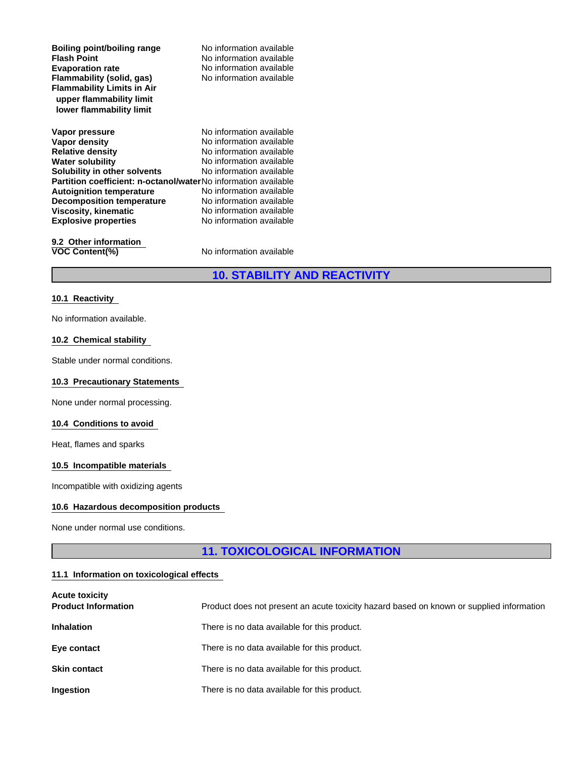| Boiling point/boiling range<br><b>Flash Point</b><br><b>Evaporation rate</b><br>Flammability (solid, gas)<br><b>Flammability Limits in Air</b> | No information available<br>No information available<br>No information available<br>No information available |  |
|------------------------------------------------------------------------------------------------------------------------------------------------|--------------------------------------------------------------------------------------------------------------|--|
| upper flammability limit<br>lower flammability limit                                                                                           |                                                                                                              |  |
| Vapor pressure                                                                                                                                 | No information available                                                                                     |  |
| Vapor density                                                                                                                                  | No information available                                                                                     |  |
| <b>Relative density</b>                                                                                                                        | No information available                                                                                     |  |
| <b>Water solubility</b>                                                                                                                        | No information available                                                                                     |  |
| Solubility in other solvents                                                                                                                   | No information available                                                                                     |  |
| <b>Partition coefficient: n-octanol/waterNo</b> information available                                                                          |                                                                                                              |  |
| <b>Autoignition temperature</b>                                                                                                                | No information available                                                                                     |  |
| <b>Decomposition temperature</b>                                                                                                               | No information available                                                                                     |  |
| Viscosity, kinematic                                                                                                                           | No information available                                                                                     |  |
| <b>Explosive properties</b>                                                                                                                    | No information available                                                                                     |  |
| 9.2 Other information                                                                                                                          |                                                                                                              |  |
| <b>VOC Content(%)</b>                                                                                                                          | No information available                                                                                     |  |

# **10. STABILITY AND REACTIVITY**

#### **10.1 Reactivity**

No information available.

#### **10.2 Chemical stability**

Stable under normal conditions.

# **10.3 Precautionary Statements**

None under normal processing.

#### **10.4 Conditions to avoid**

Heat, flames and sparks

## **10.5 Incompatible materials**

Incompatible with oxidizing agents

#### **10.6 Hazardous decomposition products**

None under normal use conditions.

# **11. TOXICOLOGICAL INFORMATION**

### **11.1 Information on toxicological effects**

| <b>Acute toxicity</b><br><b>Product Information</b> | Product does not present an acute toxicity hazard based on known or supplied information |
|-----------------------------------------------------|------------------------------------------------------------------------------------------|
| <b>Inhalation</b>                                   | There is no data available for this product.                                             |
| Eye contact                                         | There is no data available for this product.                                             |
| <b>Skin contact</b>                                 | There is no data available for this product.                                             |
| Ingestion                                           | There is no data available for this product.                                             |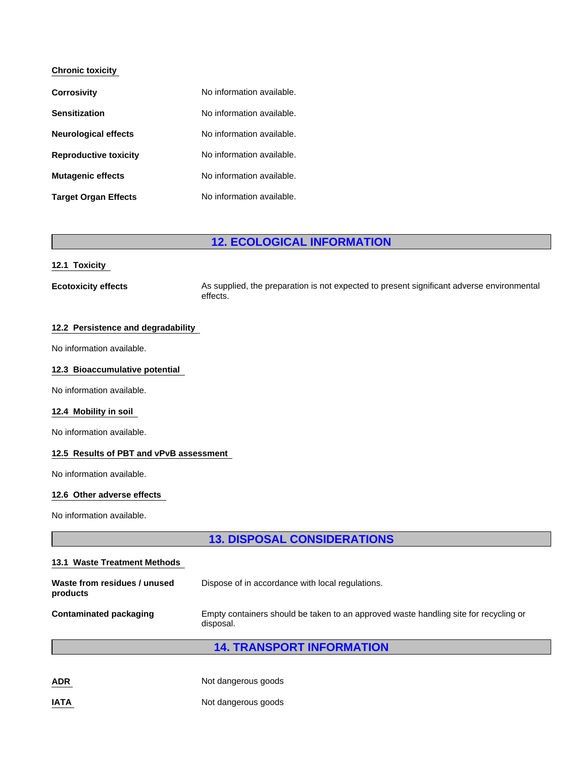# **Chronic toxicity**

| <b>Corrosivity</b>           | No information available. |
|------------------------------|---------------------------|
| <b>Sensitization</b>         | No information available. |
| <b>Neurological effects</b>  | No information available. |
| <b>Reproductive toxicity</b> | No information available. |
| <b>Mutagenic effects</b>     | No information available. |
| <b>Target Organ Effects</b>  | No information available. |

# **12. ECOLOGICAL INFORMATION**

#### **12.1 Toxicity**

**Ecotoxicity effects** As supplied, the preparation is not expected to present significant adverse environmental effects.

## **12.2 Persistence and degradability**

No information available.

#### **12.3 Bioaccumulative potential**

No information available.

## **12.4 Mobility in soil**

No information available.

#### **12.5 Results of PBT and vPvB assessment**

No information available.

## **12.6 Other adverse effects**

No information available.

# **13. DISPOSAL CONSIDERATIONS**

| 13.1 Waste Treatment Methods             |                                                                                                   |
|------------------------------------------|---------------------------------------------------------------------------------------------------|
| Waste from residues / unused<br>products | Dispose of in accordance with local regulations.                                                  |
| <b>Contaminated packaging</b>            | Empty containers should be taken to an approved waste handling site for recycling or<br>disposal. |
|                                          | <b>14. TRANSPORT INFORMATION</b>                                                                  |
| <b>ADR</b>                               | Not dangerous goods                                                                               |